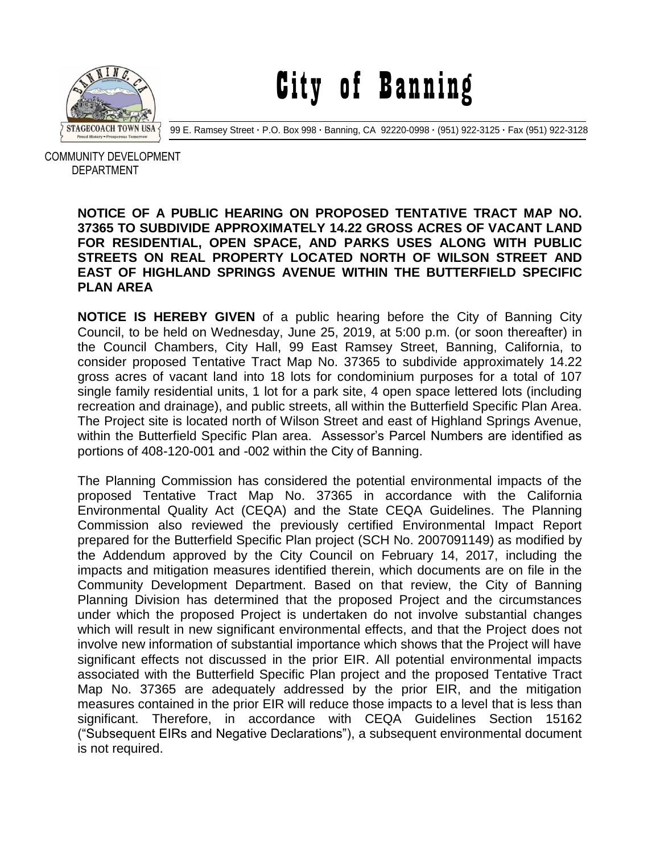

City of Banning

99 E. Ramsey Street **·** P.O. Box 998 **·** Banning, CA 92220-0998 **·** (951) 922-3125 **·** Fax (951) 922-3128

 COMMUNITY DEVELOPMENT DEPARTMENT

## **NOTICE OF A PUBLIC HEARING ON PROPOSED TENTATIVE TRACT MAP NO. 37365 TO SUBDIVIDE APPROXIMATELY 14.22 GROSS ACRES OF VACANT LAND FOR RESIDENTIAL, OPEN SPACE, AND PARKS USES ALONG WITH PUBLIC STREETS ON REAL PROPERTY LOCATED NORTH OF WILSON STREET AND EAST OF HIGHLAND SPRINGS AVENUE WITHIN THE BUTTERFIELD SPECIFIC PLAN AREA**

**NOTICE IS HEREBY GIVEN** of a public hearing before the City of Banning City Council, to be held on Wednesday, June 25, 2019, at 5:00 p.m. (or soon thereafter) in the Council Chambers, City Hall, 99 East Ramsey Street, Banning, California, to consider proposed Tentative Tract Map No. 37365 to subdivide approximately 14.22 gross acres of vacant land into 18 lots for condominium purposes for a total of 107 single family residential units, 1 lot for a park site, 4 open space lettered lots (including recreation and drainage), and public streets, all within the Butterfield Specific Plan Area. The Project site is located north of Wilson Street and east of Highland Springs Avenue, within the Butterfield Specific Plan area. Assessor's Parcel Numbers are identified as portions of 408-120-001 and -002 within the City of Banning.

The Planning Commission has considered the potential environmental impacts of the proposed Tentative Tract Map No. 37365 in accordance with the California Environmental Quality Act (CEQA) and the State CEQA Guidelines. The Planning Commission also reviewed the previously certified Environmental Impact Report prepared for the Butterfield Specific Plan project (SCH No. 2007091149) as modified by the Addendum approved by the City Council on February 14, 2017, including the impacts and mitigation measures identified therein, which documents are on file in the Community Development Department. Based on that review, the City of Banning Planning Division has determined that the proposed Project and the circumstances under which the proposed Project is undertaken do not involve substantial changes which will result in new significant environmental effects, and that the Project does not involve new information of substantial importance which shows that the Project will have significant effects not discussed in the prior EIR. All potential environmental impacts associated with the Butterfield Specific Plan project and the proposed Tentative Tract Map No. 37365 are adequately addressed by the prior EIR, and the mitigation measures contained in the prior EIR will reduce those impacts to a level that is less than significant. Therefore, in accordance with CEQA Guidelines Section 15162 ("Subsequent EIRs and Negative Declarations"), a subsequent environmental document is not required.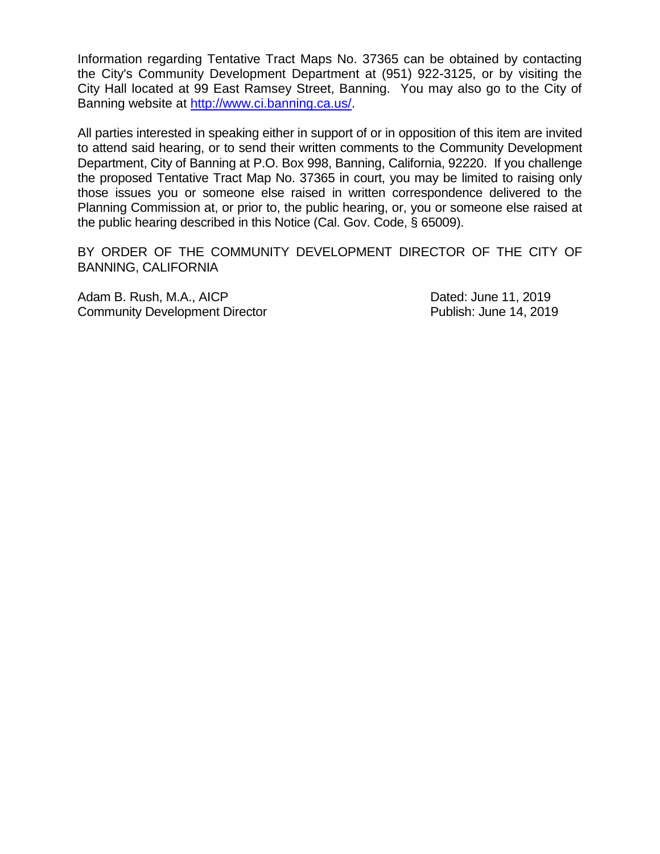Information regarding Tentative Tract Maps No. 37365 can be obtained by contacting the City's Community Development Department at (951) 922-3125, or by visiting the City Hall located at 99 East Ramsey Street, Banning. You may also go to the City of Banning website at [http://www.ci.banning.ca.us/.](http://www.ci.banning.ca.us/)

All parties interested in speaking either in support of or in opposition of this item are invited to attend said hearing, or to send their written comments to the Community Development Department, City of Banning at P.O. Box 998, Banning, California, 92220. If you challenge the proposed Tentative Tract Map No. 37365 in court, you may be limited to raising only those issues you or someone else raised in written correspondence delivered to the Planning Commission at, or prior to, the public hearing, or, you or someone else raised at the public hearing described in this Notice (Cal. Gov. Code, § 65009).

BY ORDER OF THE COMMUNITY DEVELOPMENT DIRECTOR OF THE CITY OF BANNING, CALIFORNIA

Adam B. Rush, M.A., AICP Dated: June 11, 2019 Community Development Director **Publish: June 14, 2019**